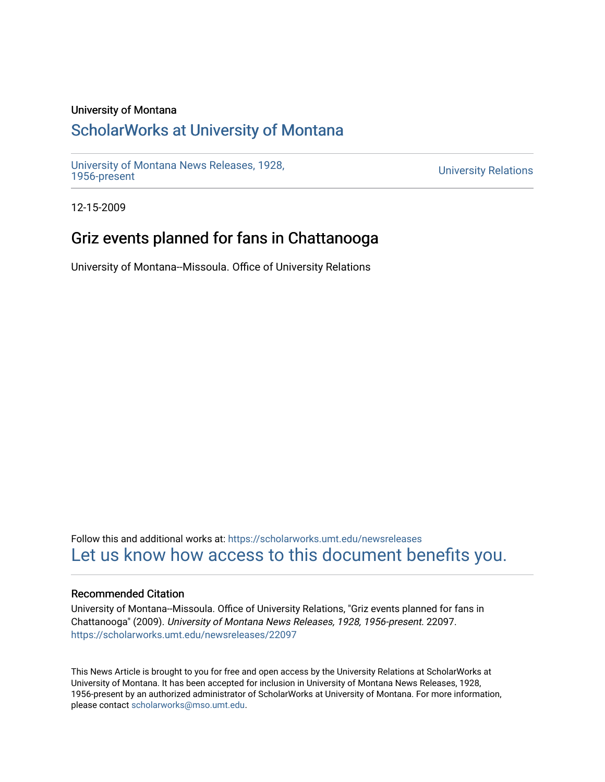### University of Montana

### [ScholarWorks at University of Montana](https://scholarworks.umt.edu/)

[University of Montana News Releases, 1928,](https://scholarworks.umt.edu/newsreleases) 

**University Relations** 

12-15-2009

# Griz events planned for fans in Chattanooga

University of Montana--Missoula. Office of University Relations

Follow this and additional works at: [https://scholarworks.umt.edu/newsreleases](https://scholarworks.umt.edu/newsreleases?utm_source=scholarworks.umt.edu%2Fnewsreleases%2F22097&utm_medium=PDF&utm_campaign=PDFCoverPages) [Let us know how access to this document benefits you.](https://goo.gl/forms/s2rGfXOLzz71qgsB2) 

#### Recommended Citation

University of Montana--Missoula. Office of University Relations, "Griz events planned for fans in Chattanooga" (2009). University of Montana News Releases, 1928, 1956-present. 22097. [https://scholarworks.umt.edu/newsreleases/22097](https://scholarworks.umt.edu/newsreleases/22097?utm_source=scholarworks.umt.edu%2Fnewsreleases%2F22097&utm_medium=PDF&utm_campaign=PDFCoverPages) 

This News Article is brought to you for free and open access by the University Relations at ScholarWorks at University of Montana. It has been accepted for inclusion in University of Montana News Releases, 1928, 1956-present by an authorized administrator of ScholarWorks at University of Montana. For more information, please contact [scholarworks@mso.umt.edu.](mailto:scholarworks@mso.umt.edu)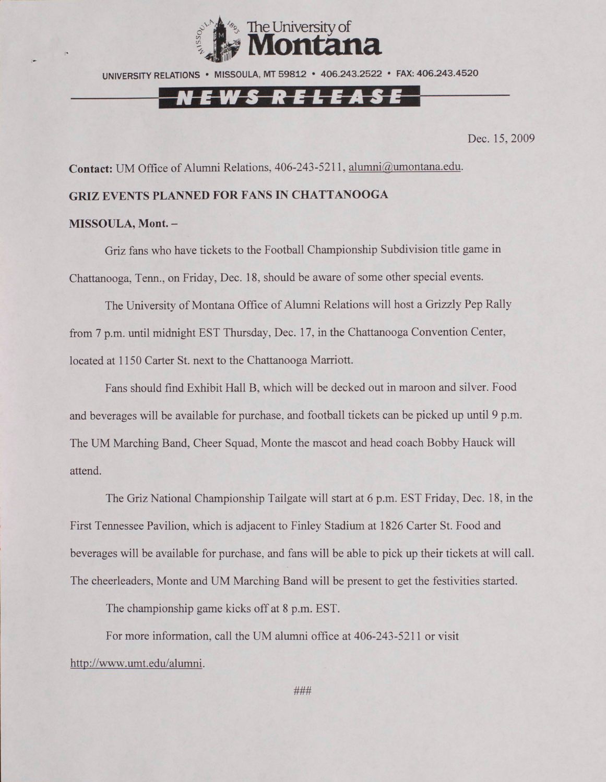

UNIVERSITY RELATIONS • MISSOULA, MT 59812 • 406.243.2522 • FAX: 406.243.4520

# E W S R E L E A S E

Dec. 15,2009

**Contact:** UM Office of Alumni Relations, 406-243-5211, [alumni@umontana.edu](mailto:alumni@umontana.edu).

### **GRIZ EVENTS PLANNED FOR FANS IN CHATTANOOGA**

#### **MISSOULA, Mont. -**

Griz fans who have tickets to the Football Championship Subdivision title game in Chattanooga, Tenn., on Friday, Dec. 18, should be aware of some other special events.

The University of Montana Office of Alumni Relations will host a Grizzly Pep Rally from 7 p.m. until midnight EST Thursday, Dec. 17, in the Chattanooga Convention Center, located at 1150 Carter St. next to the Chattanooga Marriott.

Fans should find Exhibit Hall B, which will be decked out in maroon and silver. Food and beverages will be available for purchase, and football tickets can be picked up until 9 p.m. The UM Marching Band, Cheer Squad, Monte the mascot and head coach Bobby Hauck will attend.

The Griz National Championship Tailgate will start at 6 p.m. EST Friday, Dec. 18. in the First Tennessee Pavilion, which is adjacent to Finley Stadium at 1826 Carter St. Food and beverages will be available for purchase, and fans will be able to pick up their tickets at will call. The cheerleaders, Monte and UM Marching Band will be present to get the festivities started.

The championship game kicks off at 8 p.m. EST.

For more information, call the UM alumni office at 406-243-5211 or visit [http://www. umt.edu/alumni.](http://www._umt.edu/alumni)